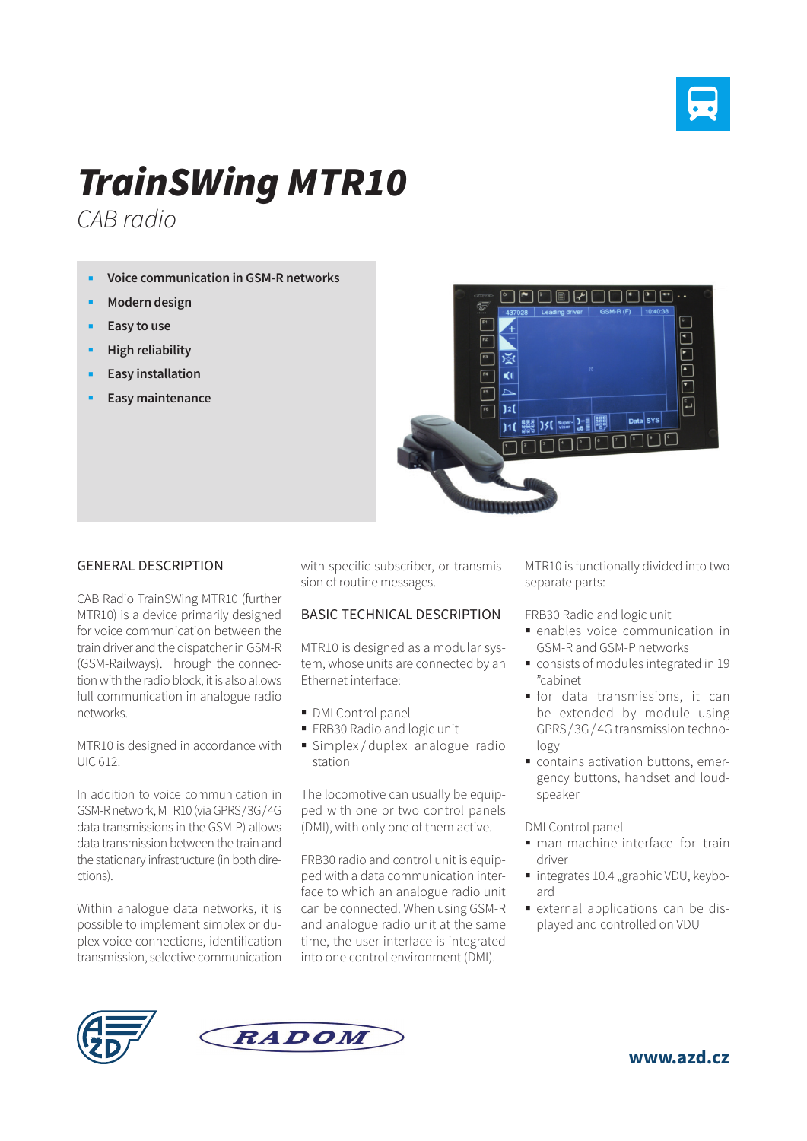

## *TrainSWing MTR10*

*CAB radio*

- **Voice communication in GSM-R networks**
- **Modern design**
- **Easy to use**
- **High reliability**
- **Easy installation**
- **Easy maintenance**



## GENERAL DESCRIPTION

CAB Radio TrainSWing MTR10 (further MTR10) is a device primarily designed for voice communication between the train driver and the dispatcher in GSM-R (GSM-Railways). Through the connection with the radio block, it is also allows full communication in analogue radio networks.

MTR10 is designed in accordance with UIC 612.

In addition to voice communication in GSM-R network, MTR10 (via GPRS/3G/4G data transmissions in the GSM-P) allows data transmission between the train and the stationary infrastructure (in both directions).

Within analogue data networks, it is possible to implement simplex or duplex voice connections, identification transmission, selective communication with specific subscriber, or transmission of routine messages.

## BASIC TECHNICAL DESCRIPTION

MTR10 is designed as a modular system, whose units are connected by an Ethernet interface:

- **DMI Control panel**
- FRB30 Radio and logic unit
- Simplex / duplex analogue radio station

The locomotive can usually be equipped with one or two control panels (DMI), with only one of them active.

FRB30 radio and control unit is equipped with a data communication interface to which an analogue radio unit can be connected. When using GSM-R and analogue radio unit at the same time, the user interface is integrated into one control environment (DMI).

MTR10 is functionally divided into two separate parts:

FRB30 Radio and logic unit

- enables voice communication in GSM-R and GSM-P networks
- consists of modules integrated in 19 "cabinet
- for data transmissions, it can be extended by module using GPRS/ 3G/ 4G transmission technology
- contains activation buttons, emergency buttons, handset and loudspeaker

DMI Control panel

- man-machine-interface for train driver
- integrates 10.4 "graphic VDU, keyboard
- external applications can be displayed and controlled on VDU





**www.azd.cz**